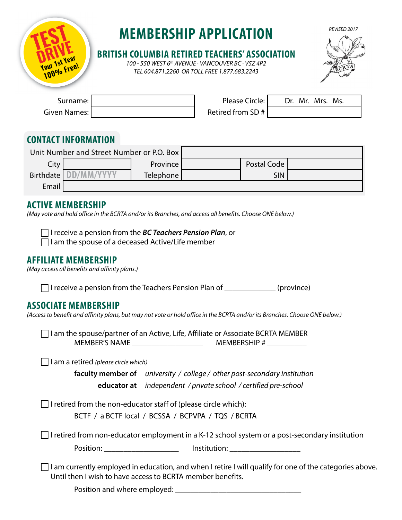

# **MEMBERSHIP APPLICATION**

#### **BRITISH COLUMBIA RETIRED TEACHERS' ASSOCIATION**

*100 - 550 WEST 6th AVENUE · VANCOUVER BC · V5Z 4P2 TEL 604.871.2260 OR TOLL FREE 1.877.683.2243*



| Surname: I   | Please Circle:      |  | Dr. Mr. Mrs. | Ms. |
|--------------|---------------------|--|--------------|-----|
| Given Names: | Retired from SD $#$ |  |              |     |

# **CONTACT INFORMATION**

| Unit Number and Street Number or P.O. Box |            |           |             |  |
|-------------------------------------------|------------|-----------|-------------|--|
| City                                      |            | Province  | Postal Code |  |
| Birthdate                                 | DD/MM/YYYY | Telephone | <b>SIN</b>  |  |
| Email                                     |            |           |             |  |

#### **ACTIVE MEMBERSHIP**

*(May vote and hold office in the BCRTA and/or its Branches, and access all benefits. Choose ONE below.)*

I receive a pension from the *BC Teachers Pension Plan*, or

 $\Box$  I am the spouse of a deceased Active/Life member

#### **AFFILIATE MEMBERSHIP**

*(May access all benefits and affinity plans.)*

I receive a pension from the Teachers Pension Plan of \_\_\_\_\_\_\_\_\_\_\_\_\_ (province)

## **ASSOCIATE MEMBERSHIP**

*(Access to benefit and affinity plans, but may not vote or hold office in the BCRTA and/or its Branches. Choose ONE below.)*

 $\Box$  I am the spouse/partner of an Active, Life, Affiliate or Associate BCRTA MEMBER MEMBER'S NAME \_\_\_\_\_\_\_\_\_\_\_\_\_\_\_\_\_\_ MEMBERSHIP # \_\_\_\_\_\_\_\_\_\_

I am a retired *(please circle which)*

 **faculty member of** *university / college / other post-secondary institution* **educator at** *independent / private school / certified pre-school*

 $\Box$  I retired from the non-educator staff of (please circle which):

BCTF / a BCTF local / BCSSA / BCPVPA / TOS / BCRTA

 $\Box$  I retired from non-educator employment in a K-12 school system or a post-secondary institution

Position: \_\_\_\_\_\_\_\_\_\_\_\_\_\_\_\_\_\_\_\_\_\_\_\_\_\_ lnstitution: \_\_\_\_\_\_\_\_\_\_\_\_\_\_\_\_\_\_\_\_\_\_\_\_\_\_\_\_\_\_

 $\Box$  I am currently employed in education, and when I retire I will qualify for one of the categories above. Until then I wish to have access to BCRTA member benefits.

Position and where employed: \_\_\_\_\_\_\_\_\_\_\_\_\_\_\_\_\_\_\_\_\_\_\_\_\_\_\_\_\_\_\_\_